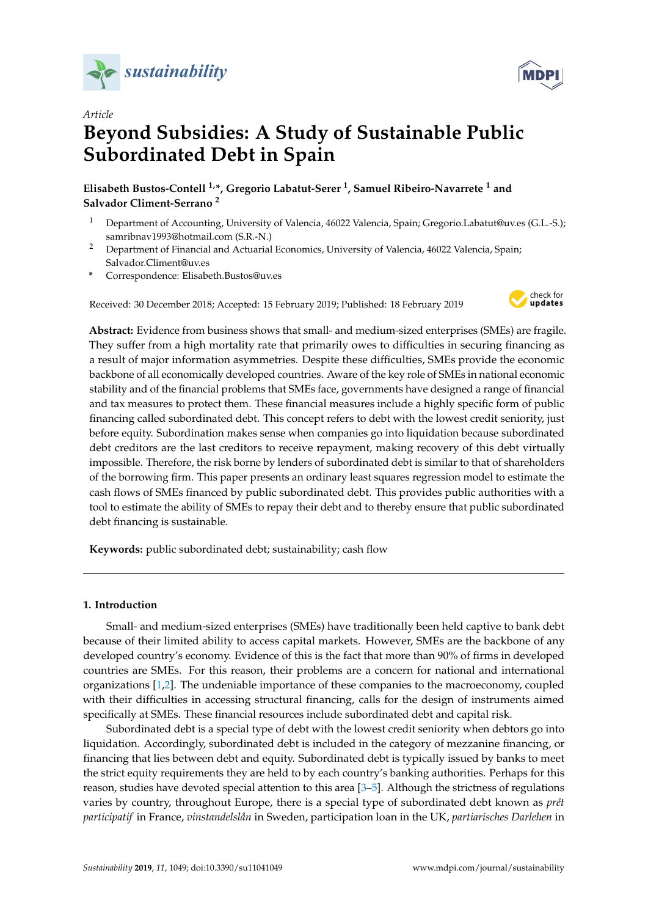



# *Article* **Beyond Subsidies: A Study of Sustainable Public Subordinated Debt in Spain**

**Elisabeth Bustos-Contell 1,\*, Gregorio Labatut-Serer <sup>1</sup> , Samuel Ribeiro-Navarrete <sup>1</sup> and Salvador Climent-Serrano <sup>2</sup>**

- <sup>1</sup> Department of Accounting, University of Valencia, 46022 Valencia, Spain; Gregorio.Labatut@uv.es (G.L.-S.); samribnav1993@hotmail.com (S.R.-N.)
- <sup>2</sup> Department of Financial and Actuarial Economics, University of Valencia, 46022 Valencia, Spain; Salvador.Climent@uv.es
- **\*** Correspondence: Elisabeth.Bustos@uv.es

Received: 30 December 2018; Accepted: 15 February 2019; Published: 18 February 2019



**Abstract:** Evidence from business shows that small- and medium-sized enterprises (SMEs) are fragile. They suffer from a high mortality rate that primarily owes to difficulties in securing financing as a result of major information asymmetries. Despite these difficulties, SMEs provide the economic backbone of all economically developed countries. Aware of the key role of SMEs in national economic stability and of the financial problems that SMEs face, governments have designed a range of financial and tax measures to protect them. These financial measures include a highly specific form of public financing called subordinated debt. This concept refers to debt with the lowest credit seniority, just before equity. Subordination makes sense when companies go into liquidation because subordinated debt creditors are the last creditors to receive repayment, making recovery of this debt virtually impossible. Therefore, the risk borne by lenders of subordinated debt is similar to that of shareholders of the borrowing firm. This paper presents an ordinary least squares regression model to estimate the cash flows of SMEs financed by public subordinated debt. This provides public authorities with a tool to estimate the ability of SMEs to repay their debt and to thereby ensure that public subordinated debt financing is sustainable.

**Keywords:** public subordinated debt; sustainability; cash flow

## **1. Introduction**

Small- and medium-sized enterprises (SMEs) have traditionally been held captive to bank debt because of their limited ability to access capital markets. However, SMEs are the backbone of any developed country's economy. Evidence of this is the fact that more than 90% of firms in developed countries are SMEs. For this reason, their problems are a concern for national and international organizations [\[1](#page-5-0)[,2\]](#page-5-1). The undeniable importance of these companies to the macroeconomy, coupled with their difficulties in accessing structural financing, calls for the design of instruments aimed specifically at SMEs. These financial resources include subordinated debt and capital risk.

Subordinated debt is a special type of debt with the lowest credit seniority when debtors go into liquidation. Accordingly, subordinated debt is included in the category of mezzanine financing, or financing that lies between debt and equity. Subordinated debt is typically issued by banks to meet the strict equity requirements they are held to by each country's banking authorities. Perhaps for this reason, studies have devoted special attention to this area [\[3–](#page-5-2)[5\]](#page-5-3). Although the strictness of regulations varies by country, throughout Europe, there is a special type of subordinated debt known as *prêt participatif* in France, *vinstandelslån* in Sweden, participation loan in the UK, *partiarisches Darlehen* in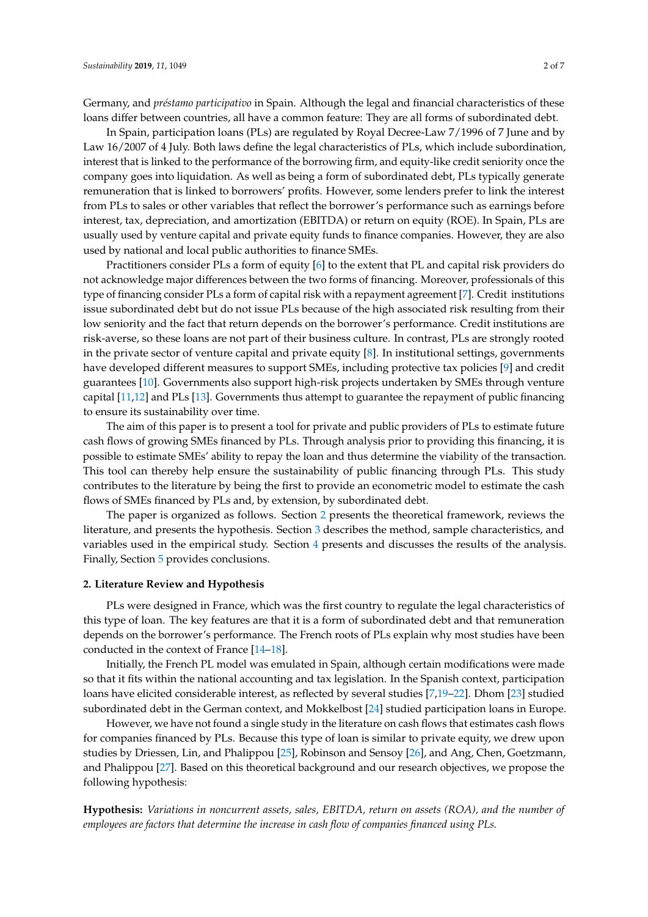Germany, and *préstamo participativo* in Spain. Although the legal and financial characteristics of these loans differ between countries, all have a common feature: They are all forms of subordinated debt.

In Spain, participation loans (PLs) are regulated by Royal Decree-Law 7/1996 of 7 June and by Law 16/2007 of 4 July. Both laws define the legal characteristics of PLs, which include subordination, interest that is linked to the performance of the borrowing firm, and equity-like credit seniority once the company goes into liquidation. As well as being a form of subordinated debt, PLs typically generate remuneration that is linked to borrowers' profits. However, some lenders prefer to link the interest from PLs to sales or other variables that reflect the borrower's performance such as earnings before interest, tax, depreciation, and amortization (EBITDA) or return on equity (ROE). In Spain, PLs are usually used by venture capital and private equity funds to finance companies. However, they are also used by national and local public authorities to finance SMEs.

Practitioners consider PLs a form of equity [\[6\]](#page-5-4) to the extent that PL and capital risk providers do not acknowledge major differences between the two forms of financing. Moreover, professionals of this type of financing consider PLs a form of capital risk with a repayment agreement [\[7\]](#page-5-5). Credit institutions issue subordinated debt but do not issue PLs because of the high associated risk resulting from their low seniority and the fact that return depends on the borrower's performance. Credit institutions are risk-averse, so these loans are not part of their business culture. In contrast, PLs are strongly rooted in the private sector of venture capital and private equity  $[8]$ . In institutional settings, governments have developed different measures to support SMEs, including protective tax policies [\[9\]](#page-5-7) and credit guarantees [\[10\]](#page-5-8). Governments also support high-risk projects undertaken by SMEs through venture capital [\[11](#page-5-9)[,12\]](#page-5-10) and PLs [\[13\]](#page-5-11). Governments thus attempt to guarantee the repayment of public financing to ensure its sustainability over time.

The aim of this paper is to present a tool for private and public providers of PLs to estimate future cash flows of growing SMEs financed by PLs. Through analysis prior to providing this financing, it is possible to estimate SMEs' ability to repay the loan and thus determine the viability of the transaction. This tool can thereby help ensure the sustainability of public financing through PLs. This study contributes to the literature by being the first to provide an econometric model to estimate the cash flows of SMEs financed by PLs and, by extension, by subordinated debt.

The paper is organized as follows. Section [2](#page-1-0) presents the theoretical framework, reviews the literature, and presents the hypothesis. Section [3](#page-2-0) describes the method, sample characteristics, and variables used in the empirical study. Section [4](#page-2-1) presents and discusses the results of the analysis. Finally, Section [5](#page-4-0) provides conclusions.

#### <span id="page-1-0"></span>**2. Literature Review and Hypothesis**

PLs were designed in France, which was the first country to regulate the legal characteristics of this type of loan. The key features are that it is a form of subordinated debt and that remuneration depends on the borrower's performance. The French roots of PLs explain why most studies have been conducted in the context of France [\[14–](#page-5-12)[18\]](#page-5-13).

Initially, the French PL model was emulated in Spain, although certain modifications were made so that it fits within the national accounting and tax legislation. In the Spanish context, participation loans have elicited considerable interest, as reflected by several studies [\[7](#page-5-5)[,19–](#page-6-0)[22\]](#page-6-1). Dhom [\[23\]](#page-6-2) studied subordinated debt in the German context, and Mokkelbost [\[24\]](#page-6-3) studied participation loans in Europe.

However, we have not found a single study in the literature on cash flows that estimates cash flows for companies financed by PLs. Because this type of loan is similar to private equity, we drew upon studies by Driessen, Lin, and Phalippou [\[25\]](#page-6-4), Robinson and Sensoy [\[26\]](#page-6-5), and Ang, Chen, Goetzmann, and Phalippou [\[27\]](#page-6-6). Based on this theoretical background and our research objectives, we propose the following hypothesis:

**Hypothesis:** *Variations in noncurrent assets, sales, EBITDA, return on assets (ROA), and the number of employees are factors that determine the increase in cash flow of companies financed using PLs.*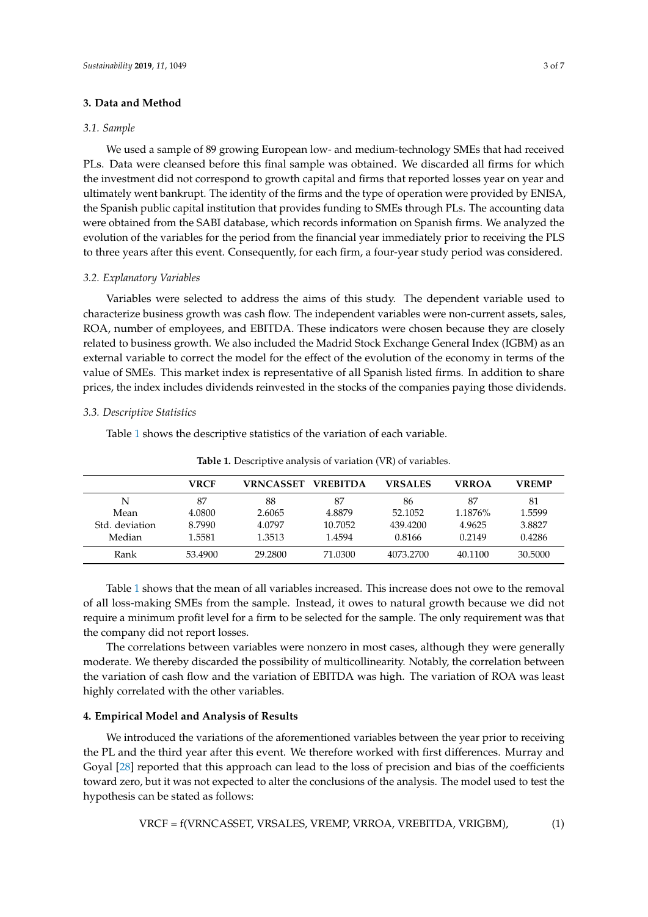### <span id="page-2-0"></span>**3. Data and Method**

#### *3.1. Sample*

We used a sample of 89 growing European low- and medium-technology SMEs that had received PLs. Data were cleansed before this final sample was obtained. We discarded all firms for which the investment did not correspond to growth capital and firms that reported losses year on year and ultimately went bankrupt. The identity of the firms and the type of operation were provided by ENISA, the Spanish public capital institution that provides funding to SMEs through PLs. The accounting data were obtained from the SABI database, which records information on Spanish firms. We analyzed the evolution of the variables for the period from the financial year immediately prior to receiving the PLS to three years after this event. Consequently, for each firm, a four-year study period was considered.

#### *3.2. Explanatory Variables*

Variables were selected to address the aims of this study. The dependent variable used to characterize business growth was cash flow. The independent variables were non-current assets, sales, ROA, number of employees, and EBITDA. These indicators were chosen because they are closely related to business growth. We also included the Madrid Stock Exchange General Index (IGBM) as an external variable to correct the model for the effect of the evolution of the economy in terms of the value of SMEs. This market index is representative of all Spanish listed firms. In addition to share prices, the index includes dividends reinvested in the stocks of the companies paying those dividends.

#### *3.3. Descriptive Statistics*

Table [1](#page-2-2) shows the descriptive statistics of the variation of each variable.

<span id="page-2-2"></span>

|                | <b>VRCF</b> | <b>VRNCASSET</b> | <b>VREBITDA</b> | <b>VRSALES</b> | VRROA   | VREMP   |
|----------------|-------------|------------------|-----------------|----------------|---------|---------|
| N              | 87          | 88               | 87              | 86             | -87     | 81      |
| Mean           | 4.0800      | 2.6065           | 4.8879          | 52.1052        | 1.1876% | 1.5599  |
| Std. deviation | 8.7990      | 4.0797           | 10.7052         | 439.4200       | 4.9625  | 3.8827  |
| Median         | 1.5581      | 1.3513           | 1.4594          | 0.8166         | 0.2149  | 0.4286  |
| Rank           | 53.4900     | 29.2800          | 71.0300         | 4073.2700      | 40.1100 | 30.5000 |

**Table 1.** Descriptive analysis of variation (VR) of variables.

Table [1](#page-2-2) shows that the mean of all variables increased. This increase does not owe to the removal of all loss-making SMEs from the sample. Instead, it owes to natural growth because we did not require a minimum profit level for a firm to be selected for the sample. The only requirement was that the company did not report losses.

The correlations between variables were nonzero in most cases, although they were generally moderate. We thereby discarded the possibility of multicollinearity. Notably, the correlation between the variation of cash flow and the variation of EBITDA was high. The variation of ROA was least highly correlated with the other variables.

#### <span id="page-2-1"></span>**4. Empirical Model and Analysis of Results**

We introduced the variations of the aforementioned variables between the year prior to receiving the PL and the third year after this event. We therefore worked with first differences. Murray and Goyal [\[28\]](#page-6-7) reported that this approach can lead to the loss of precision and bias of the coefficients toward zero, but it was not expected to alter the conclusions of the analysis. The model used to test the hypothesis can be stated as follows:

VRCF = 
$$
f(VRNCASSET, VRSALES, VREMP, VRROA, VREBITDA, VRIGBM)
$$
, 
$$
(1)
$$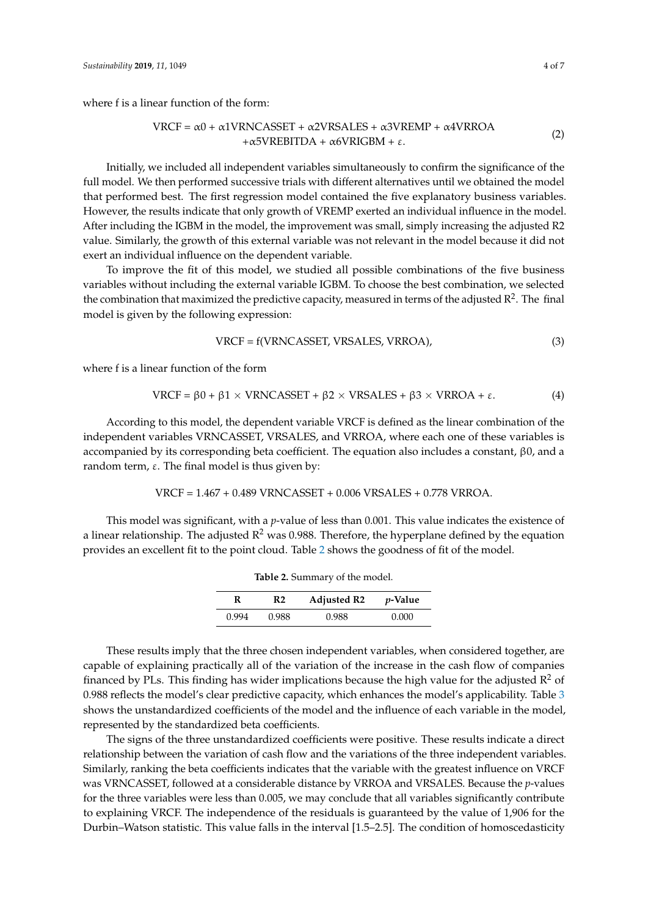where f is a linear function of the form:

$$
VRCF = α0 + α1VRNCASSET + α2VRSALES + α3VREMP + α4VRROA + α5VREBITDA + α6VRIGBM + ε.
$$
\n(2)

Initially, we included all independent variables simultaneously to confirm the significance of the full model. We then performed successive trials with different alternatives until we obtained the model that performed best. The first regression model contained the five explanatory business variables. However, the results indicate that only growth of VREMP exerted an individual influence in the model. After including the IGBM in the model, the improvement was small, simply increasing the adjusted R2 value. Similarly, the growth of this external variable was not relevant in the model because it did not exert an individual influence on the dependent variable.

To improve the fit of this model, we studied all possible combinations of the five business variables without including the external variable IGBM. To choose the best combination, we selected the combination that maximized the predictive capacity, measured in terms of the adjusted  $\mathsf{R}^2$ . The final model is given by the following expression:

\n
$$
VRCF = f(VRNCASSET, VRSALES, VRROA),
$$
\n

\n\n (3)\n

where f is a linear function of the form

VRCF = 
$$
β0 + β1 × VRNCASSET + β2 × VRSALES + β3 × VRROA + ε.
$$
 (4)

According to this model, the dependent variable VRCF is defined as the linear combination of the independent variables VRNCASSET, VRSALES, and VRROA, where each one of these variables is accompanied by its corresponding beta coefficient. The equation also includes a constant, β0, and a random term,  $ε$ . The final model is thus given by:

VRCF = 
$$
1.467 + 0.489
$$
 VRNCASSET +  $0.006$  VRSALES +  $0.778$  VRROA.

<span id="page-3-0"></span>This model was significant, with a *p*-value of less than 0.001. This value indicates the existence of a linear relationship. The adjusted  $R^2$  was 0.988. Therefore, the hyperplane defined by the equation provides an excellent fit to the point cloud. Table [2](#page-3-0) shows the goodness of fit of the model.

| R     | R2    | <b>Adjusted R2</b> | <i>p</i> -Value |  |
|-------|-------|--------------------|-----------------|--|
| 0.994 | 0.988 | 0.988              | 0.000           |  |

**Table 2.** Summary of the model.

These results imply that the three chosen independent variables, when considered together, are capable of explaining practically all of the variation of the increase in the cash flow of companies financed by PLs. This finding has wider implications because the high value for the adjusted  $R^2$  of 0.988 reflects the model's clear predictive capacity, which enhances the model's applicability. Table [3](#page-4-1) shows the unstandardized coefficients of the model and the influence of each variable in the model, represented by the standardized beta coefficients.

The signs of the three unstandardized coefficients were positive. These results indicate a direct relationship between the variation of cash flow and the variations of the three independent variables. Similarly, ranking the beta coefficients indicates that the variable with the greatest influence on VRCF was VRNCASSET, followed at a considerable distance by VRROA and VRSALES. Because the *p*-values for the three variables were less than 0.005, we may conclude that all variables significantly contribute to explaining VRCF. The independence of the residuals is guaranteed by the value of 1,906 for the Durbin–Watson statistic. This value falls in the interval [1.5–2.5]. The condition of homoscedasticity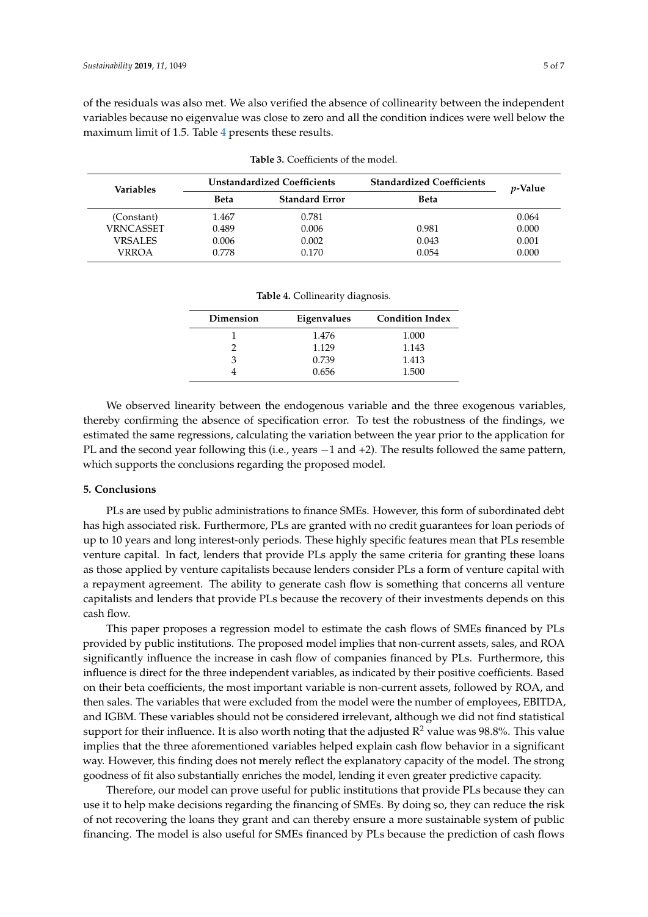of the residuals was also met. We also verified the absence of collinearity between the independent variables because no eigenvalue was close to zero and all the condition indices were well below the maximum limit of 1.5. Table [4](#page-4-2) presents these results.

<span id="page-4-1"></span>

| Variables  |       | <b>Unstandardized Coefficients</b> | <b>Standardized Coefficients</b> | <i>v</i> -Value |  |
|------------|-------|------------------------------------|----------------------------------|-----------------|--|
|            | Beta  | <b>Standard Error</b>              | <b>Beta</b>                      |                 |  |
| (Constant) | 1.467 | 0.781                              |                                  | 0.064           |  |
| VRNCASSET  | 0.489 | 0.006                              | 0.981                            | 0.000           |  |
| VRSALES    | 0.006 | 0.002                              | 0.043                            | 0.001           |  |
| VRROA      | 0.778 | 0.170                              | 0.054                            | 0.000           |  |

**Table 3.** Coefficients of the model.

<span id="page-4-2"></span>

| Dimension | Eigenvalues | <b>Condition Index</b> |
|-----------|-------------|------------------------|
|           | 1.476       | 1.000                  |
|           | 1.129       | 1.143                  |
| З         | 0.739       | 1.413                  |
|           | 0.656       | 1.500                  |
|           |             |                        |

**Table 4.** Collinearity diagnosis.

We observed linearity between the endogenous variable and the three exogenous variables, thereby confirming the absence of specification error. To test the robustness of the findings, we estimated the same regressions, calculating the variation between the year prior to the application for PL and the second year following this (i.e., years −1 and +2). The results followed the same pattern, which supports the conclusions regarding the proposed model.

#### <span id="page-4-0"></span>**5. Conclusions**

PLs are used by public administrations to finance SMEs. However, this form of subordinated debt has high associated risk. Furthermore, PLs are granted with no credit guarantees for loan periods of up to 10 years and long interest-only periods. These highly specific features mean that PLs resemble venture capital. In fact, lenders that provide PLs apply the same criteria for granting these loans as those applied by venture capitalists because lenders consider PLs a form of venture capital with a repayment agreement. The ability to generate cash flow is something that concerns all venture capitalists and lenders that provide PLs because the recovery of their investments depends on this cash flow.

This paper proposes a regression model to estimate the cash flows of SMEs financed by PLs provided by public institutions. The proposed model implies that non-current assets, sales, and ROA significantly influence the increase in cash flow of companies financed by PLs. Furthermore, this influence is direct for the three independent variables, as indicated by their positive coefficients. Based on their beta coefficients, the most important variable is non-current assets, followed by ROA, and then sales. The variables that were excluded from the model were the number of employees, EBITDA, and IGBM. These variables should not be considered irrelevant, although we did not find statistical support for their influence. It is also worth noting that the adjusted  $\mathbb{R}^2$  value was 98.8%. This value implies that the three aforementioned variables helped explain cash flow behavior in a significant way. However, this finding does not merely reflect the explanatory capacity of the model. The strong goodness of fit also substantially enriches the model, lending it even greater predictive capacity.

Therefore, our model can prove useful for public institutions that provide PLs because they can use it to help make decisions regarding the financing of SMEs. By doing so, they can reduce the risk of not recovering the loans they grant and can thereby ensure a more sustainable system of public financing. The model is also useful for SMEs financed by PLs because the prediction of cash flows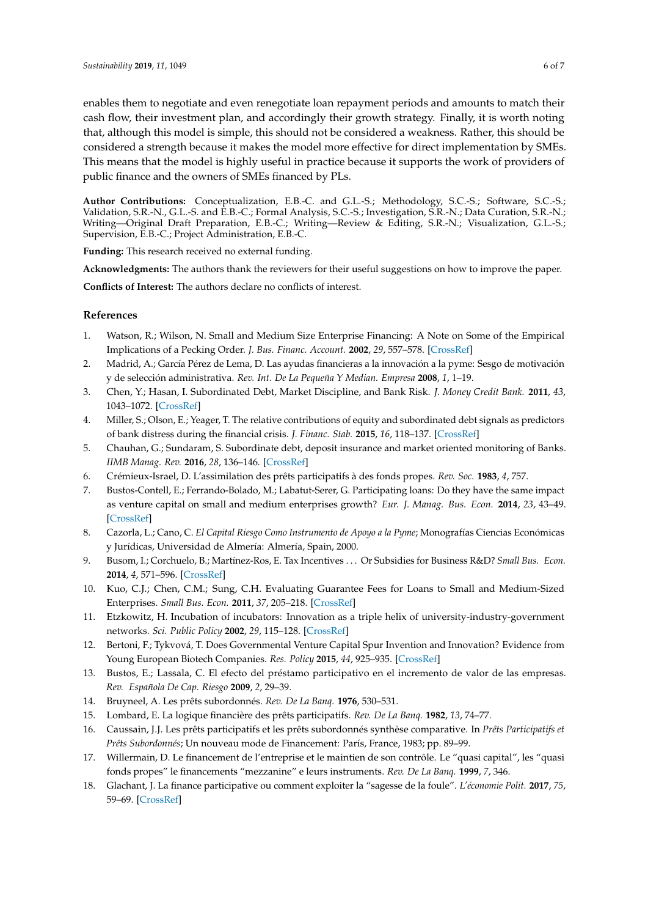enables them to negotiate and even renegotiate loan repayment periods and amounts to match their cash flow, their investment plan, and accordingly their growth strategy. Finally, it is worth noting that, although this model is simple, this should not be considered a weakness. Rather, this should be considered a strength because it makes the model more effective for direct implementation by SMEs. This means that the model is highly useful in practice because it supports the work of providers of public finance and the owners of SMEs financed by PLs.

**Author Contributions:** Conceptualization, E.B.-C. and G.L.-S.; Methodology, S.C.-S.; Software, S.C.-S.; Validation, S.R.-N., G.L.-S. and E.B.-C.; Formal Analysis, S.C.-S.; Investigation, S.R.-N.; Data Curation, S.R.-N.; Writing—Original Draft Preparation, E.B.-C.; Writing—Review & Editing, S.R.-N.; Visualization, G.L.-S.; Supervision, E.B.-C.; Project Administration, E.B.-C.

**Funding:** This research received no external funding.

**Acknowledgments:** The authors thank the reviewers for their useful suggestions on how to improve the paper. **Conflicts of Interest:** The authors declare no conflicts of interest.

## **References**

- <span id="page-5-0"></span>1. Watson, R.; Wilson, N. Small and Medium Size Enterprise Financing: A Note on Some of the Empirical Implications of a Pecking Order. *J. Bus. Financ. Account.* **2002**, *29*, 557–578. [\[CrossRef\]](http://dx.doi.org/10.1111/1468-5957.00443)
- <span id="page-5-1"></span>2. Madrid, A.; García Pérez de Lema, D. Las ayudas financieras a la innovación a la pyme: Sesgo de motivación y de selección administrativa. *Rev. Int. De La Pequeña Y Median. Empresa* **2008**, *1*, 1–19.
- <span id="page-5-2"></span>3. Chen, Y.; Hasan, I. Subordinated Debt, Market Discipline, and Bank Risk. *J. Money Credit Bank.* **2011**, *43*, 1043–1072. [\[CrossRef\]](http://dx.doi.org/10.1111/j.1538-4616.2011.00417.x)
- 4. Miller, S.; Olson, E.; Yeager, T. The relative contributions of equity and subordinated debt signals as predictors of bank distress during the financial crisis. *J. Financ. Stab.* **2015**, *16*, 118–137. [\[CrossRef\]](http://dx.doi.org/10.1016/j.jfs.2015.01.001)
- <span id="page-5-3"></span>5. Chauhan, G.; Sundaram, S. Subordinate debt, deposit insurance and market oriented monitoring of Banks. *IIMB Manag. Rev.* **2016**, *28*, 136–146. [\[CrossRef\]](http://dx.doi.org/10.1016/j.iimb.2016.06.002)
- <span id="page-5-4"></span>6. Crémieux-Israel, D. L'assimilation des prêts participatifs à des fonds propes. *Rev. Soc.* **1983**, *4*, 757.
- <span id="page-5-5"></span>7. Bustos-Contell, E.; Ferrando-Bolado, M.; Labatut-Serer, G. Participating loans: Do they have the same impact as venture capital on small and medium enterprises growth? *Eur. J. Manag. Bus. Econ.* **2014**, *23*, 43–49. [\[CrossRef\]](http://dx.doi.org/10.1016/j.redee.2013.10.001)
- <span id="page-5-6"></span>8. Cazorla, L.; Cano, C. *El Capital Riesgo Como Instrumento de Apoyo a la Pyme*; Monografías Ciencias Económicas y Jurídicas, Universidad de Almería: Almería, Spain, 2000.
- <span id="page-5-7"></span>9. Busom, I.; Corchuelo, B.; Martínez-Ros, E. Tax Incentives . . . Or Subsidies for Business R&D? *Small Bus. Econ.* **2014**, *4*, 571–596. [\[CrossRef\]](http://dx.doi.org/10.1007/s11187-014-9569-1)
- <span id="page-5-8"></span>10. Kuo, C.J.; Chen, C.M.; Sung, C.H. Evaluating Guarantee Fees for Loans to Small and Medium-Sized Enterprises. *Small Bus. Econ.* **2011**, *37*, 205–218. [\[CrossRef\]](http://dx.doi.org/10.1007/s11187-009-9236-0)
- <span id="page-5-9"></span>11. Etzkowitz, H. Incubation of incubators: Innovation as a triple helix of university-industry-government networks. *Sci. Public Policy* **2002**, *29*, 115–128. [\[CrossRef\]](http://dx.doi.org/10.3152/147154302781781056)
- <span id="page-5-10"></span>12. Bertoni, F.; Tykvová, T. Does Governmental Venture Capital Spur Invention and Innovation? Evidence from Young European Biotech Companies. *Res. Policy* **2015**, *44*, 925–935. [\[CrossRef\]](http://dx.doi.org/10.1016/j.respol.2015.02.002)
- <span id="page-5-11"></span>13. Bustos, E.; Lassala, C. El efecto del préstamo participativo en el incremento de valor de las empresas. *Rev. Española De Cap. Riesgo* **2009**, *2*, 29–39.
- <span id="page-5-12"></span>14. Bruyneel, A. Les prêts subordonnés. *Rev. De La Banq.* **1976**, 530–531.
- 15. Lombard, E. La logique financière des prêts participatifs. *Rev. De La Banq.* **1982**, *13*, 74–77.
- 16. Caussain, J.J. Les prêts participatifs et les prêts subordonnés synthèse comparative. In *Prêts Participatifs et Prêts Subordonnés*; Un nouveau mode de Financement: París, France, 1983; pp. 89–99.
- 17. Willermain, D. Le financement de l'entreprise et le maintien de son contrôle. Le "quasi capital", les "quasi fonds propes" le financements "mezzanine" e leurs instruments. *Rev. De La Banq.* **1999**, *7*, 346.
- <span id="page-5-13"></span>18. Glachant, J. La finance participative ou comment exploiter la "sagesse de la foule". *L'économie Polit.* **2017**, *75*, 59–69. [\[CrossRef\]](http://dx.doi.org/10.3917/leco.075.0059)